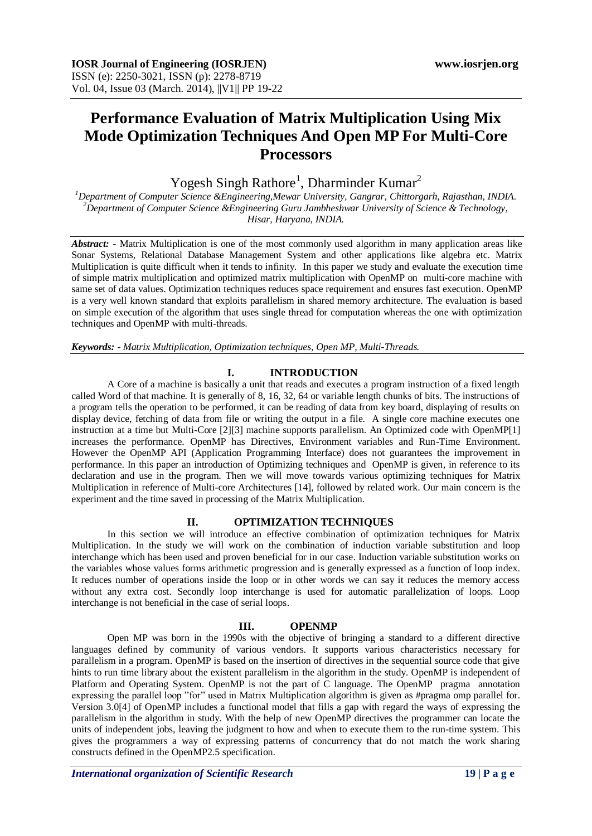# **Performance Evaluation of Matrix Multiplication Using Mix Mode Optimization Techniques And Open MP For Multi-Core Processors**

Yogesh Singh Rathore<sup>1</sup>, Dharminder Kumar<sup>2</sup>

*<sup>1</sup>Department of Computer Science &Engineering,Mewar University, Gangrar, Chittorgarh, Rajasthan, INDIA. <sup>2</sup>Department of Computer Science &Engineering Guru Jambheshwar University of Science & Technology, Hisar, Haryana, INDIA.*

*Abstract:* - Matrix Multiplication is one of the most commonly used algorithm in many application areas like Sonar Systems, Relational Database Management System and other applications like algebra etc. Matrix Multiplication is quite difficult when it tends to infinity. In this paper we study and evaluate the execution time of simple matrix multiplication and optimized matrix multiplication with OpenMP on multi-core machine with same set of data values. Optimization techniques reduces space requirement and ensures fast execution. OpenMP is a very well known standard that exploits parallelism in shared memory architecture. The evaluation is based on simple execution of the algorithm that uses single thread for computation whereas the one with optimization techniques and OpenMP with multi-threads.

*Keywords: - Matrix Multiplication, Optimization techniques, Open MP, Multi-Threads.*

# **I. INTRODUCTION**

A Core of a machine is basically a unit that reads and executes a program instruction of a fixed length called Word of that machine. It is generally of 8, 16, 32, 64 or variable length chunks of bits. The instructions of a program tells the operation to be performed, it can be reading of data from key board, displaying of results on display device, fetching of data from file or writing the output in a file. A single core machine executes one instruction at a time but Multi-Core [2][3] machine supports parallelism. An Optimized code with OpenMP[1] increases the performance. OpenMP has Directives, Environment variables and Run-Time Environment. However the OpenMP API (Application Programming Interface) does not guarantees the improvement in performance. In this paper an introduction of Optimizing techniques and OpenMP is given, in reference to its declaration and use in the program. Then we will move towards various optimizing techniques for Matrix Multiplication in reference of Multi-core Architectures [14], followed by related work. Our main concern is the experiment and the time saved in processing of the Matrix Multiplication.

#### **II. OPTIMIZATION TECHNIQUES**

In this section we will introduce an effective combination of optimization techniques for Matrix Multiplication. In the study we will work on the combination of induction variable substitution and loop interchange which has been used and proven beneficial for in our case. Induction variable substitution works on the variables whose values forms arithmetic progression and is generally expressed as a function of loop index. It reduces number of operations inside the loop or in other words we can say it reduces the memory access without any extra cost. Secondly loop interchange is used for automatic parallelization of loops. Loop interchange is not beneficial in the case of serial loops.

#### **III. OPENMP**

Open MP was born in the 1990s with the objective of bringing a standard to a different directive languages defined by community of various vendors. It supports various characteristics necessary for parallelism in a program. OpenMP is based on the insertion of directives in the sequential source code that give hints to run time library about the existent parallelism in the algorithm in the study. OpenMP is independent of Platform and Operating System. OpenMP is not the part of C language. The OpenMP pragma annotation expressing the parallel loop "for" used in Matrix Multiplication algorithm is given as #pragma omp parallel for. Version 3.0[4] of OpenMP includes a functional model that fills a gap with regard the ways of expressing the parallelism in the algorithm in study. With the help of new OpenMP directives the programmer can locate the units of independent jobs, leaving the judgment to how and when to execute them to the run-time system. This gives the programmers a way of expressing patterns of concurrency that do not match the work sharing constructs defined in the OpenMP2.5 specification.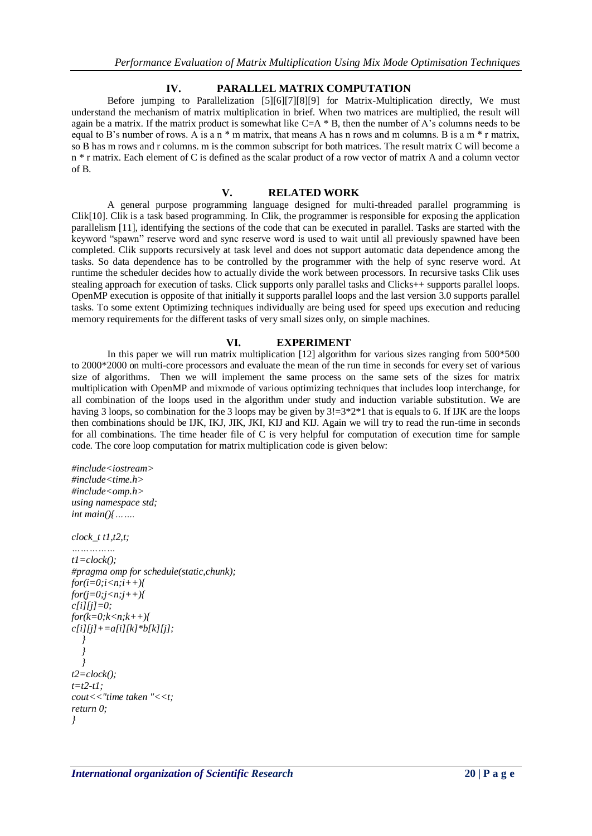#### **IV. PARALLEL MATRIX COMPUTATION**

Before jumping to Parallelization [5][6][7][8][9] for Matrix-Multiplication directly, We must understand the mechanism of matrix multiplication in brief. When two matrices are multiplied, the result will again be a matrix. If the matrix product is somewhat like C=A \* B, then the number of A's columns needs to be equal to B's number of rows. A is a n  $*$  m matrix, that means A has n rows and m columns. B is a m  $*$  r matrix, so B has m rows and r columns. m is the common subscript for both matrices. The result matrix C will become a n \* r matrix. Each element of C is defined as the scalar product of a row vector of matrix A and a column vector of B.

#### **V. RELATED WORK**

A general purpose programming language designed for multi-threaded parallel programming is Clik[10]. Clik is a task based programming. In Clik, the programmer is responsible for exposing the application parallelism [11], identifying the sections of the code that can be executed in parallel. Tasks are started with the keyword "spawn" reserve word and sync reserve word is used to wait until all previously spawned have been completed. Clik supports recursively at task level and does not support automatic data dependence among the tasks. So data dependence has to be controlled by the programmer with the help of sync reserve word. At runtime the scheduler decides how to actually divide the work between processors. In recursive tasks Clik uses stealing approach for execution of tasks. Click supports only parallel tasks and Clicks++ supports parallel loops. OpenMP execution is opposite of that initially it supports parallel loops and the last version 3.0 supports parallel tasks. To some extent Optimizing techniques individually are being used for speed ups execution and reducing memory requirements for the different tasks of very small sizes only, on simple machines.

#### **VI. EXPERIMENT**

In this paper we will run matrix multiplication [12] algorithm for various sizes ranging from 500\*500 to 2000\*2000 on multi-core processors and evaluate the mean of the run time in seconds for every set of various size of algorithms. Then we will implement the same process on the same sets of the sizes for matrix multiplication with OpenMP and mixmode of various optimizing techniques that includes loop interchange, for all combination of the loops used in the algorithm under study and induction variable substitution. We are having 3 loops, so combination for the 3 loops may be given by  $3! = 3*2*1$  that is equals to 6. If IJK are the loops then combinations should be IJK, IKJ, JIK, JKI, KIJ and KIJ. Again we will try to read the run-time in seconds for all combinations. The time header file of C is very helpful for computation of execution time for sample code. The core loop computation for matrix multiplication code is given below:

```
#include<iostream>
#include<time.h>
#include<omp.h>
using namespace std;
int main(){…….
```

```
clock_t t1,t2,t;
```

```
……………
t1=clock();
#pragma omp for schedule(static,chunk);
for(i=0; i < n; i++)for(j=0;j<n;j++){
c[i][j]=0;
for(k=0;k<n;k++){
c[i][j]+=a[i][k]*b[k][j];
 }
   }
   }
t2=clock();
t=t2-t1;
cout<<"time taken "<<t;
return 0;
}
```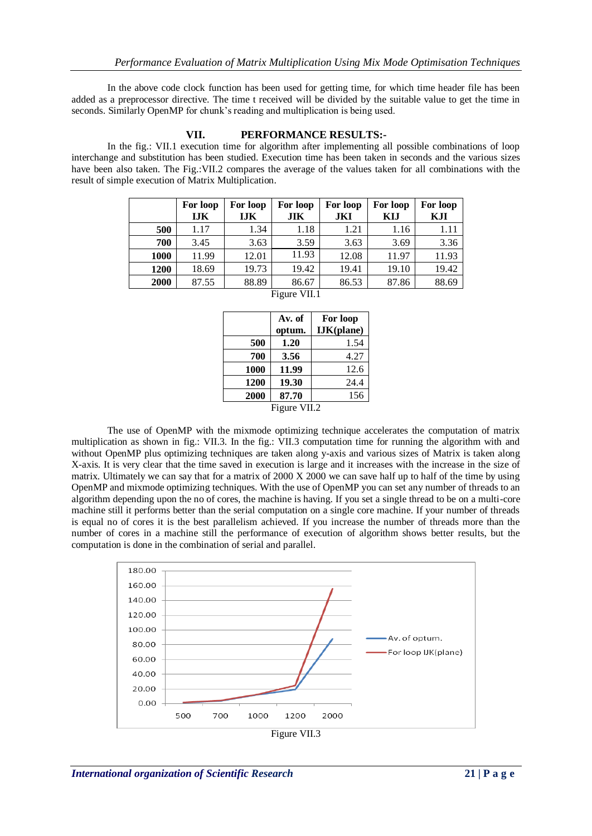In the above code clock function has been used for getting time, for which time header file has been added as a preprocessor directive. The time t received will be divided by the suitable value to get the time in seconds. Similarly OpenMP for chunk's reading and multiplication is being used.

## **VII. PERFORMANCE RESULTS:-**

In the fig.: VII.1 execution time for algorithm after implementing all possible combinations of loop interchange and substitution has been studied. Execution time has been taken in seconds and the various sizes have been also taken. The Fig.:VII.2 compares the average of the values taken for all combinations with the result of simple execution of Matrix Multiplication.

|      | For loop<br><b>IJK</b> | For loop<br><b>IJK</b> | For loop<br><b>JIK</b> | For loop<br>JKI | For loop<br>KIJ | For loop<br>KJI |  |
|------|------------------------|------------------------|------------------------|-----------------|-----------------|-----------------|--|
| 500  | 1.17                   | 1.34                   | 1.18                   | 1.21            | 1.16            | 1.11            |  |
| 700  | 3.45                   | 3.63                   | 3.59                   | 3.63            | 3.69            | 3.36            |  |
| 1000 | 11.99                  | 12.01                  | 11.93                  | 12.08           | 11.97           | 11.93           |  |
| 1200 | 18.69                  | 19.73                  | 19.42                  | 19.41           | 19.10           | 19.42           |  |
| 2000 | 87.55                  | 88.89                  | 86.67                  | 86.53           | 87.86           | 88.69           |  |
|      | Figure VII.1           |                        |                        |                 |                 |                 |  |

|              | Av. of | For loop   |  |  |  |
|--------------|--------|------------|--|--|--|
|              | optum. | IJK(plane) |  |  |  |
| 500          | 1.20   | 1.54       |  |  |  |
| 700          | 3.56   | 4.27       |  |  |  |
| 1000         | 11.99  | 12.6       |  |  |  |
| 1200         | 19.30  | 24.4       |  |  |  |
| 2000         | 87.70  | 156        |  |  |  |
| Figure VII.2 |        |            |  |  |  |

The use of OpenMP with the mixmode optimizing technique accelerates the computation of matrix multiplication as shown in fig.: VII.3. In the fig.: VII.3 computation time for running the algorithm with and without OpenMP plus optimizing techniques are taken along y-axis and various sizes of Matrix is taken along X-axis. It is very clear that the time saved in execution is large and it increases with the increase in the size of matrix. Ultimately we can say that for a matrix of 2000  $X$  2000 we can save half up to half of the time by using OpenMP and mixmode optimizing techniques. With the use of OpenMP you can set any number of threads to an algorithm depending upon the no of cores, the machine is having. If you set a single thread to be on a multi-core machine still it performs better than the serial computation on a single core machine. If your number of threads is equal no of cores it is the best parallelism achieved. If you increase the number of threads more than the number of cores in a machine still the performance of execution of algorithm shows better results, but the computation is done in the combination of serial and parallel.